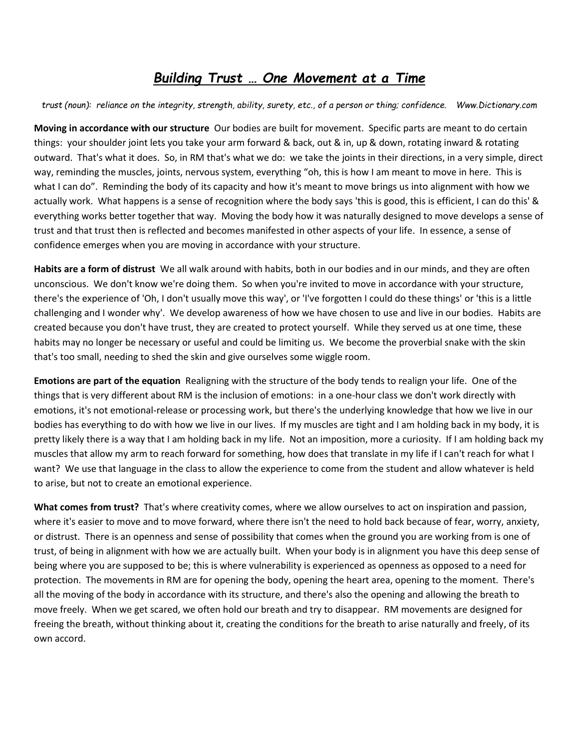# *Building Trust … One Movement at a Time*

*trust (noun): reliance on the integrity, strength, ability, surety, etc., of a person or thing; confidence. Www.Dictionary.com*

**Moving in accordance with our structure** Our bodies are built for movement. Specific parts are meant to do certain things: your shoulder joint lets you take your arm forward & back, out & in, up & down, rotating inward & rotating outward. That's what it does. So, in RM that's what we do: we take the joints in their directions, in a very simple, direct way, reminding the muscles, joints, nervous system, everything "oh, this is how I am meant to move in here. This is what I can do". Reminding the body of its capacity and how it's meant to move brings us into alignment with how we actually work. What happens is a sense of recognition where the body says 'this is good, this is efficient, I can do this' & everything works better together that way. Moving the body how it was naturally designed to move develops a sense of trust and that trust then is reflected and becomes manifested in other aspects of your life. In essence, a sense of confidence emerges when you are moving in accordance with your structure.

**Habits are a form of distrust** We all walk around with habits, both in our bodies and in our minds, and they are often unconscious. We don't know we're doing them. So when you're invited to move in accordance with your structure, there's the experience of 'Oh, I don't usually move this way', or 'I've forgotten I could do these things' or 'this is a little challenging and I wonder why'. We develop awareness of how we have chosen to use and live in our bodies. Habits are created because you don't have trust, they are created to protect yourself. While they served us at one time, these habits may no longer be necessary or useful and could be limiting us. We become the proverbial snake with the skin that's too small, needing to shed the skin and give ourselves some wiggle room.

**Emotions are part of the equation** Realigning with the structure of the body tends to realign your life. One of the things that is very different about RM is the inclusion of emotions: in a one-hour class we don't work directly with emotions, it's not emotional-release or processing work, but there's the underlying knowledge that how we live in our bodies has everything to do with how we live in our lives. If my muscles are tight and I am holding back in my body, it is pretty likely there is a way that I am holding back in my life. Not an imposition, more a curiosity. If I am holding back my muscles that allow my arm to reach forward for something, how does that translate in my life if I can't reach for what I want? We use that language in the class to allow the experience to come from the student and allow whatever is held to arise, but not to create an emotional experience.

**What comes from trust?** That's where creativity comes, where we allow ourselves to act on inspiration and passion, where it's easier to move and to move forward, where there isn't the need to hold back because of fear, worry, anxiety, or distrust. There is an openness and sense of possibility that comes when the ground you are working from is one of trust, of being in alignment with how we are actually built. When your body is in alignment you have this deep sense of being where you are supposed to be; this is where vulnerability is experienced as openness as opposed to a need for protection. The movements in RM are for opening the body, opening the heart area, opening to the moment. There's all the moving of the body in accordance with its structure, and there's also the opening and allowing the breath to move freely. When we get scared, we often hold our breath and try to disappear. RM movements are designed for freeing the breath, without thinking about it, creating the conditions for the breath to arise naturally and freely, of its own accord.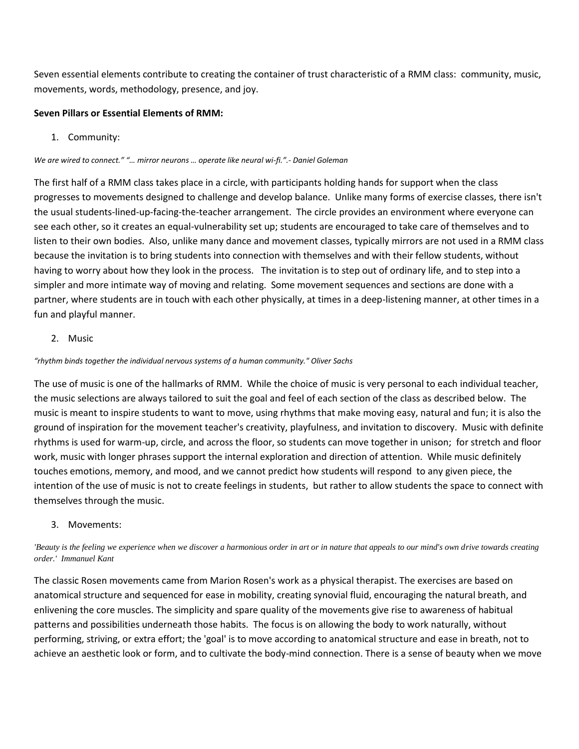Seven essential elements contribute to creating the container of trust characteristic of a RMM class: community, music, movements, words, methodology, presence, and joy.

## **Seven Pillars or Essential Elements of RMM:**

1. Community:

#### *We are wired to connect." "… mirror neurons … operate like neural wi-fi.".- Daniel Goleman*

The first half of a RMM class takes place in a circle, with participants holding hands for support when the class progresses to movements designed to challenge and develop balance. Unlike many forms of exercise classes, there isn't the usual students-lined-up-facing-the-teacher arrangement. The circle provides an environment where everyone can see each other, so it creates an equal-vulnerability set up; students are encouraged to take care of themselves and to listen to their own bodies. Also, unlike many dance and movement classes, typically mirrors are not used in a RMM class because the invitation is to bring students into connection with themselves and with their fellow students, without having to worry about how they look in the process. The invitation is to step out of ordinary life, and to step into a simpler and more intimate way of moving and relating. Some movement sequences and sections are done with a partner, where students are in touch with each other physically, at times in a deep-listening manner, at other times in a fun and playful manner.

## 2. Music

#### *"rhythm binds together the individual nervous systems of a human community." Oliver Sachs*

The use of music is one of the hallmarks of RMM. While the choice of music is very personal to each individual teacher, the music selections are always tailored to suit the goal and feel of each section of the class as described below. The music is meant to inspire students to want to move, using rhythms that make moving easy, natural and fun; it is also the ground of inspiration for the movement teacher's creativity, playfulness, and invitation to discovery. Music with definite rhythms is used for warm-up, circle, and across the floor, so students can move together in unison; for stretch and floor work, music with longer phrases support the internal exploration and direction of attention. While music definitely touches emotions, memory, and mood, and we cannot predict how students will respond to any given piece, the intention of the use of music is not to create feelings in students, but rather to allow students the space to connect with themselves through the music.

### 3. Movements:

### *'Beauty is the feeling we experience when we discover a harmonious order in art or in nature that appeals to our mind's own drive towards creating order.' Immanuel Kant*

The classic Rosen movements came from Marion Rosen's work as a physical therapist. The exercises are based on anatomical structure and sequenced for ease in mobility, creating synovial fluid, encouraging the natural breath, and enlivening the core muscles. The simplicity and spare quality of the movements give rise to awareness of habitual patterns and possibilities underneath those habits. The focus is on allowing the body to work naturally, without performing, striving, or extra effort; the 'goal' is to move according to anatomical structure and ease in breath, not to achieve an aesthetic look or form, and to cultivate the body-mind connection. There is a sense of beauty when we move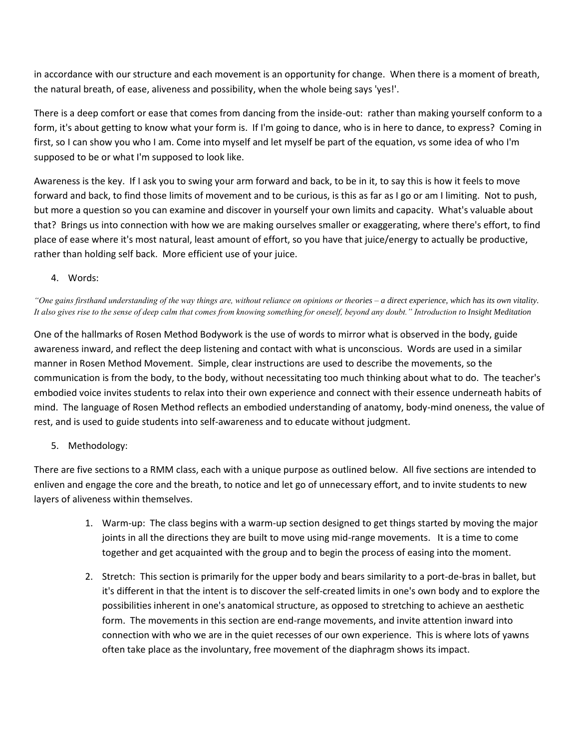in accordance with our structure and each movement is an opportunity for change. When there is a moment of breath, the natural breath, of ease, aliveness and possibility, when the whole being says 'yes!'.

There is a deep comfort or ease that comes from dancing from the inside-out: rather than making yourself conform to a form, it's about getting to know what your form is. If I'm going to dance, who is in here to dance, to express? Coming in first, so I can show you who I am. Come into myself and let myself be part of the equation, vs some idea of who I'm supposed to be or what I'm supposed to look like.

Awareness is the key. If I ask you to swing your arm forward and back, to be in it, to say this is how it feels to move forward and back, to find those limits of movement and to be curious, is this as far as I go or am I limiting. Not to push, but more a question so you can examine and discover in yourself your own limits and capacity. What's valuable about that? Brings us into connection with how we are making ourselves smaller or exaggerating, where there's effort, to find place of ease where it's most natural, least amount of effort, so you have that juice/energy to actually be productive, rather than holding self back. More efficient use of your juice.

4. Words:

*"One gains firsthand understanding of the way things are, without reliance on opinions or theories – a direct experience, which has its own vitality. It also gives rise to the sense of deep calm that comes from knowing something for oneself, beyond any doubt." Introduction to Insight Meditation*

One of the hallmarks of Rosen Method Bodywork is the use of words to mirror what is observed in the body, guide awareness inward, and reflect the deep listening and contact with what is unconscious. Words are used in a similar manner in Rosen Method Movement. Simple, clear instructions are used to describe the movements, so the communication is from the body, to the body, without necessitating too much thinking about what to do. The teacher's embodied voice invites students to relax into their own experience and connect with their essence underneath habits of mind. The language of Rosen Method reflects an embodied understanding of anatomy, body-mind oneness, the value of rest, and is used to guide students into self-awareness and to educate without judgment.

5. Methodology:

There are five sections to a RMM class, each with a unique purpose as outlined below. All five sections are intended to enliven and engage the core and the breath, to notice and let go of unnecessary effort, and to invite students to new layers of aliveness within themselves.

- 1. Warm-up: The class begins with a warm-up section designed to get things started by moving the major joints in all the directions they are built to move using mid-range movements. It is a time to come together and get acquainted with the group and to begin the process of easing into the moment.
- 2. Stretch: This section is primarily for the upper body and bears similarity to a port-de-bras in ballet, but it's different in that the intent is to discover the self-created limits in one's own body and to explore the possibilities inherent in one's anatomical structure, as opposed to stretching to achieve an aesthetic form. The movements in this section are end-range movements, and invite attention inward into connection with who we are in the quiet recesses of our own experience. This is where lots of yawns often take place as the involuntary, free movement of the diaphragm shows its impact.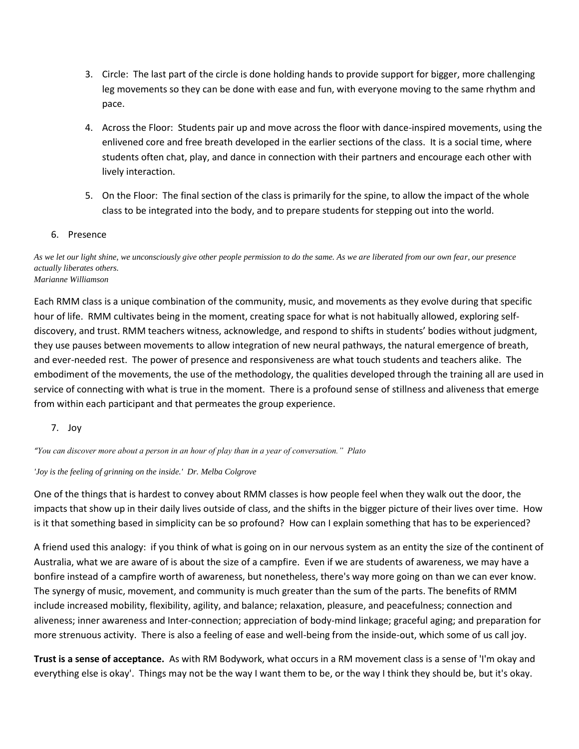- 3. Circle: The last part of the circle is done holding hands to provide support for bigger, more challenging leg movements so they can be done with ease and fun, with everyone moving to the same rhythm and pace.
- 4. Across the Floor: Students pair up and move across the floor with dance-inspired movements, using the enlivened core and free breath developed in the earlier sections of the class. It is a social time, where students often chat, play, and dance in connection with their partners and encourage each other with lively interaction.
- 5. On the Floor: The final section of the class is primarily for the spine, to allow the impact of the whole class to be integrated into the body, and to prepare students for stepping out into the world.

## 6. Presence

*As we let our light shine, we unconsciously give other people permission to do the same. As we are liberated from our own fear, our presence actually liberates others. Marianne Williamson* 

Each RMM class is a unique combination of the community, music, and movements as they evolve during that specific hour of life. RMM cultivates being in the moment, creating space for what is not habitually allowed, exploring selfdiscovery, and trust. RMM teachers witness, acknowledge, and respond to shifts in students' bodies without judgment, they use pauses between movements to allow integration of new neural pathways, the natural emergence of breath, and ever-needed rest. The power of presence and responsiveness are what touch students and teachers alike. The embodiment of the movements, the use of the methodology, the qualities developed through the training all are used in service of connecting with what is true in the moment. There is a profound sense of stillness and aliveness that emerge from within each participant and that permeates the group experience.

7. Joy

*"You can discover more about a person in an hour of play than in a year of conversation." Plato*

### *'Joy is the feeling of grinning on the inside.' Dr. Melba Colgrove*

One of the things that is hardest to convey about RMM classes is how people feel when they walk out the door, the impacts that show up in their daily lives outside of class, and the shifts in the bigger picture of their lives over time. How is it that something based in simplicity can be so profound? How can I explain something that has to be experienced?

A friend used this analogy: if you think of what is going on in our nervous system as an entity the size of the continent of Australia, what we are aware of is about the size of a campfire. Even if we are students of awareness, we may have a bonfire instead of a campfire worth of awareness, but nonetheless, there's way more going on than we can ever know. The synergy of music, movement, and community is much greater than the sum of the parts. The benefits of RMM include increased mobility, flexibility, agility, and balance; relaxation, pleasure, and peacefulness; connection and aliveness; inner awareness and Inter-connection; appreciation of body-mind linkage; graceful aging; and preparation for more strenuous activity. There is also a feeling of ease and well-being from the inside-out, which some of us call joy.

**Trust is a sense of acceptance.** As with RM Bodywork, what occurs in a RM movement class is a sense of 'I'm okay and everything else is okay'. Things may not be the way I want them to be, or the way I think they should be, but it's okay.